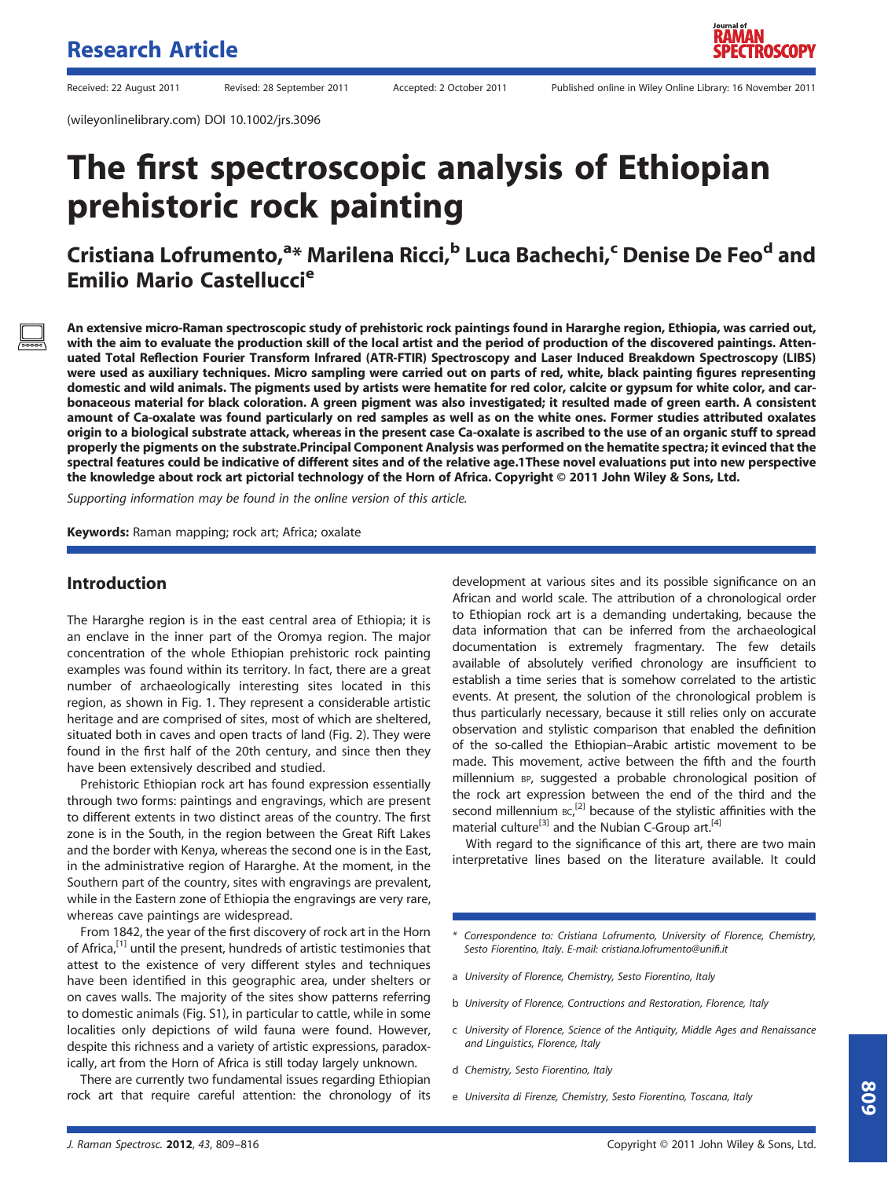(wileyonlinelibrary.com) DOI 10.1002/jrs.3096

# The first spectroscopic analysis of Ethiopian prehistoric rock painting

## Cristiana Lofrumento,<sup>a</sup>\* Marilena Ricci,<sup>b</sup> Luca Bachechi,<sup>c</sup> Denise De Feo<sup>d</sup> and Emilio Mario Castellucci<sup>e</sup>

An extensive micro-Raman spectroscopic study of prehistoric rock paintings found in Hararghe region, Ethiopia, was carried out, with the aim to evaluate the production skill of the local artist and the period of production of the discovered paintings. Attenuated Total Reflection Fourier Transform Infrared (ATR-FTIR) Spectroscopy and Laser Induced Breakdown Spectroscopy (LIBS) were used as auxiliary techniques. Micro sampling were carried out on parts of red, white, black painting figures representing domestic and wild animals. The pigments used by artists were hematite for red color, calcite or gypsum for white color, and carbonaceous material for black coloration. A green pigment was also investigated; it resulted made of green earth. A consistent amount of Ca-oxalate was found particularly on red samples as well as on the white ones. Former studies attributed oxalates origin to a biological substrate attack, whereas in the present case Ca-oxalate is ascribed to the use of an organic stuff to spread properly the pigments on the substrate.Principal Component Analysis was performed on the hematite spectra; it evinced that the spectral features could be indicative of different sites and of the relative age.1These novel evaluations put into new perspective the knowledge about rock art pictorial technology of the Horn of Africa. Copyright © 2011 John Wiley & Sons, Ltd.

Supporting information may be found in the online version of this article.

Keywords: Raman mapping; rock art; Africa; oxalate

## Introduction

The Hararghe region is in the east central area of Ethiopia; it is an enclave in the inner part of the Oromya region. The major concentration of the whole Ethiopian prehistoric rock painting examples was found within its territory. In fact, there are a great number of archaeologically interesting sites located in this region, as shown in Fig. 1. They represent a considerable artistic heritage and are comprised of sites, most of which are sheltered, situated both in caves and open tracts of land (Fig. 2). They were found in the first half of the 20th century, and since then they have been extensively described and studied.

Prehistoric Ethiopian rock art has found expression essentially through two forms: paintings and engravings, which are present to different extents in two distinct areas of the country. The first zone is in the South, in the region between the Great Rift Lakes and the border with Kenya, whereas the second one is in the East, in the administrative region of Hararghe. At the moment, in the Southern part of the country, sites with engravings are prevalent, while in the Eastern zone of Ethiopia the engravings are very rare, whereas cave paintings are widespread.

From 1842, the year of the first discovery of rock art in the Horn of Africa, $^{[1]}$  until the present, hundreds of artistic testimonies that attest to the existence of very different styles and techniques have been identified in this geographic area, under shelters or on caves walls. The majority of the sites show patterns referring to domestic animals (Fig. S1), in particular to cattle, while in some localities only depictions of wild fauna were found. However, despite this richness and a variety of artistic expressions, paradoxically, art from the Horn of Africa is still today largely unknown.

There are currently two fundamental issues regarding Ethiopian rock art that require careful attention: the chronology of its development at various sites and its possible significance on an African and world scale. The attribution of a chronological order to Ethiopian rock art is a demanding undertaking, because the data information that can be inferred from the archaeological documentation is extremely fragmentary. The few details available of absolutely verified chronology are insufficient to establish a time series that is somehow correlated to the artistic events. At present, the solution of the chronological problem is thus particularly necessary, because it still relies only on accurate observation and stylistic comparison that enabled the definition of the so-called the Ethiopian–Arabic artistic movement to be made. This movement, active between the fifth and the fourth millennium BP, suggested a probable chronological position of the rock art expression between the end of the third and the second millennium  $BC<sub>1</sub><sup>[2]</sup>$  because of the stylistic affinities with the material culture<sup>[3]</sup> and the Nubian C-Group art.<sup>[4]</sup>

With regard to the significance of this art, there are two main interpretative lines based on the literature available. It could

- \* Correspondence to: Cristiana Lofrumento, University of Florence, Chemistry, Sesto Fiorentino, Italy. E-mail: cristiana.lofrumento@unifi.it
- a University of Florence, Chemistry, Sesto Fiorentino, Italy
- b University of Florence, Contructions and Restoration, Florence, Italy
- c University of Florence, Science of the Antiquity, Middle Ages and Renaissance and Linguistics, Florence, Italy
- d Chemistry, Sesto Fiorentino, Italy
- e Universita di Firenze, Chemistry, Sesto Fiorentino, Toscana, Italy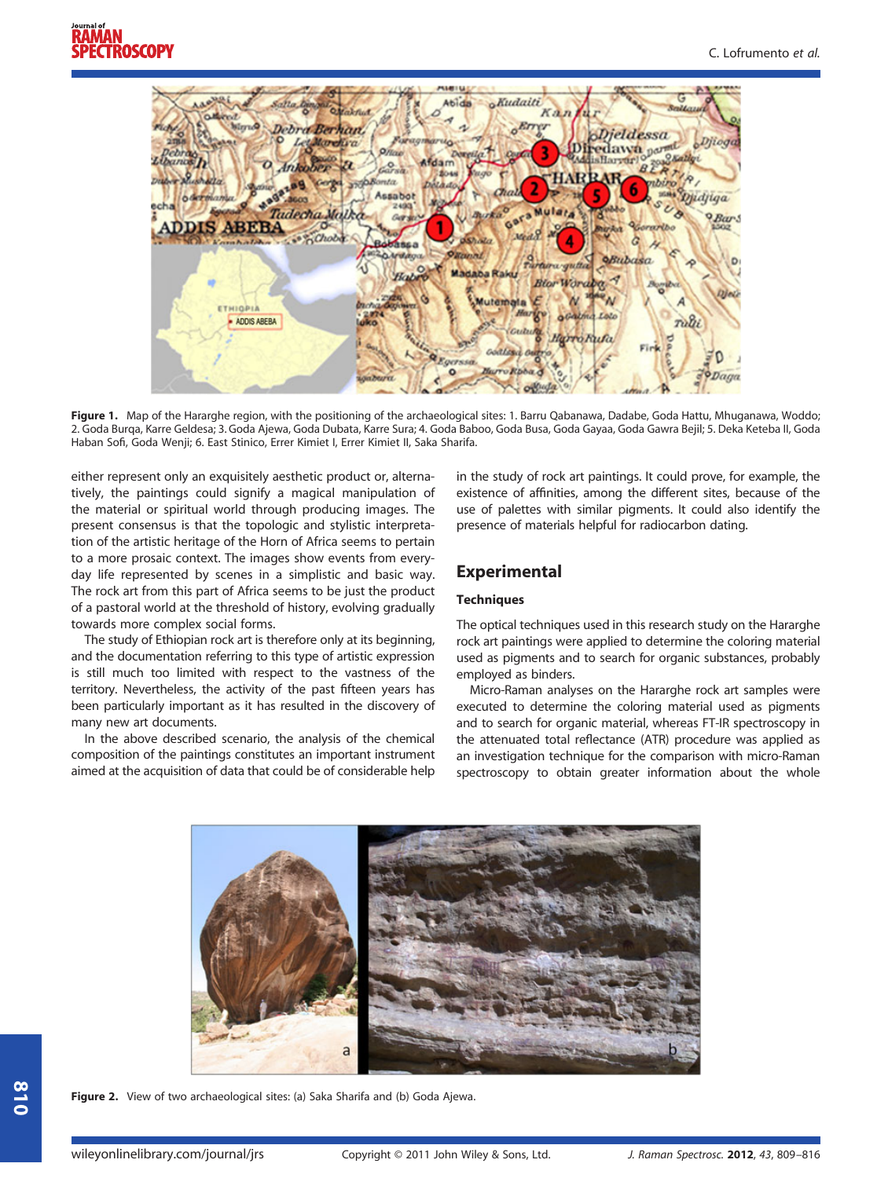

Figure 1. Map of the Hararghe region, with the positioning of the archaeological sites: 1. Barru Qabanawa, Dadabe, Goda Hattu, Mhuganawa, Woddo; 2. Goda Burqa, Karre Geldesa; 3. Goda Ajewa, Goda Dubata, Karre Sura; 4. Goda Baboo, Goda Busa, Goda Gayaa, Goda Gawra Bejil; 5. Deka Keteba II, Goda Haban Sofi, Goda Wenji; 6. East Stinico, Errer Kimiet I, Errer Kimiet II, Saka Sharifa.

either represent only an exquisitely aesthetic product or, alternatively, the paintings could signify a magical manipulation of the material or spiritual world through producing images. The present consensus is that the topologic and stylistic interpretation of the artistic heritage of the Horn of Africa seems to pertain to a more prosaic context. The images show events from everyday life represented by scenes in a simplistic and basic way. The rock art from this part of Africa seems to be just the product of a pastoral world at the threshold of history, evolving gradually towards more complex social forms.

The study of Ethiopian rock art is therefore only at its beginning, and the documentation referring to this type of artistic expression is still much too limited with respect to the vastness of the territory. Nevertheless, the activity of the past fifteen years has been particularly important as it has resulted in the discovery of many new art documents.

In the above described scenario, the analysis of the chemical composition of the paintings constitutes an important instrument aimed at the acquisition of data that could be of considerable help

in the study of rock art paintings. It could prove, for example, the existence of affinities, among the different sites, because of the use of palettes with similar pigments. It could also identify the presence of materials helpful for radiocarbon dating.

## Experimental

#### **Techniques**

The optical techniques used in this research study on the Hararghe rock art paintings were applied to determine the coloring material used as pigments and to search for organic substances, probably employed as binders.

Micro-Raman analyses on the Hararghe rock art samples were executed to determine the coloring material used as pigments and to search for organic material, whereas FT-IR spectroscopy in the attenuated total reflectance (ATR) procedure was applied as an investigation technique for the comparison with micro-Raman spectroscopy to obtain greater information about the whole

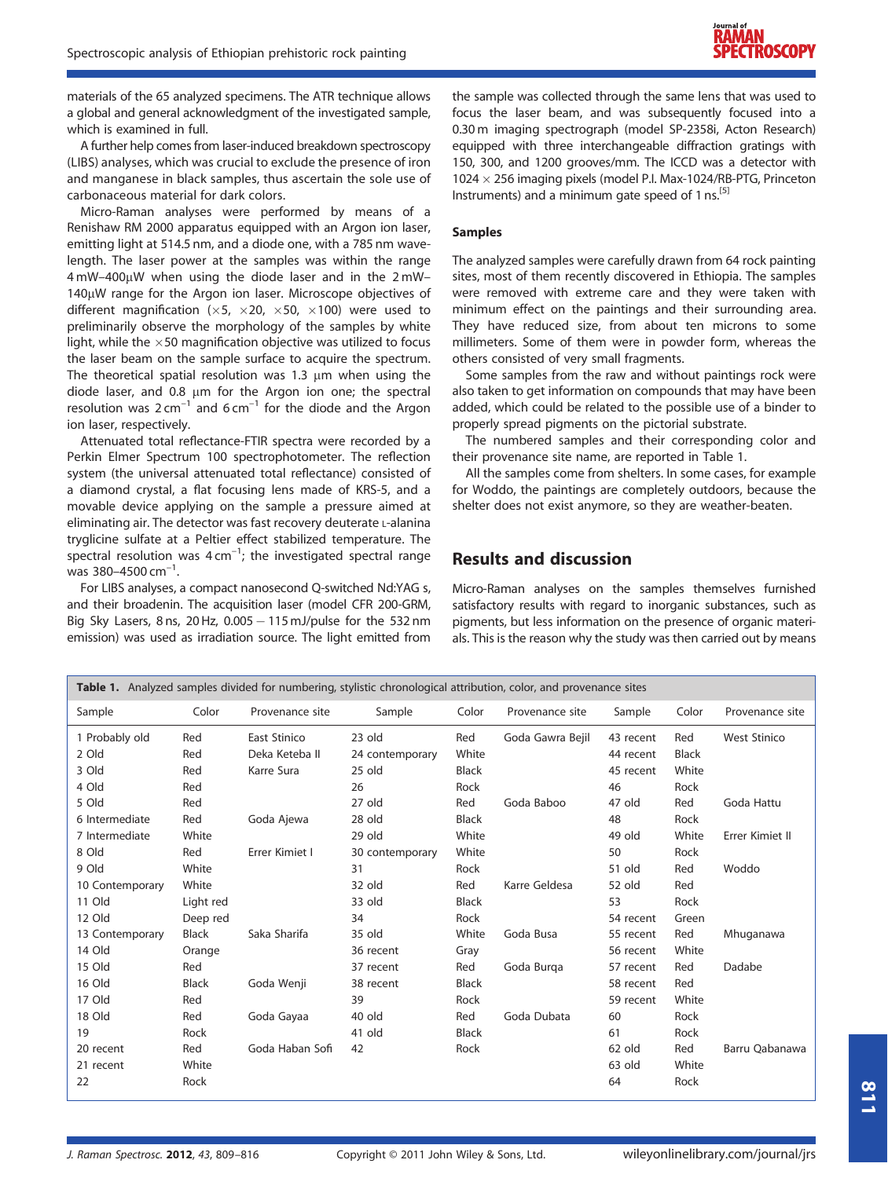materials of the 65 analyzed specimens. The ATR technique allows a global and general acknowledgment of the investigated sample, which is examined in full.

A further help comes from laser-induced breakdown spectroscopy (LIBS) analyses, which was crucial to exclude the presence of iron and manganese in black samples, thus ascertain the sole use of carbonaceous material for dark colors.

Micro-Raman analyses were performed by means of a Renishaw RM 2000 apparatus equipped with an Argon ion laser, emitting light at 514.5 nm, and a diode one, with a 785 nm wavelength. The laser power at the samples was within the range  $4$  mW-400 $\mu$ W when using the diode laser and in the  $2$  mW-140µW range for the Argon ion laser. Microscope objectives of different magnification ( $\times$ 5,  $\times$ 20,  $\times$ 50,  $\times$ 100) were used to preliminarily observe the morphology of the samples by white light, while the  $\times$  50 magnification objective was utilized to focus the laser beam on the sample surface to acquire the spectrum. The theoretical spatial resolution was 1.3  $\mu$ m when using the diode laser, and 0.8  $\mu$ m for the Argon ion one; the spectral diode laser, and 0.8 µm for the Argon ion one; the spectral<br>resolution was 2 cm<sup>-1</sup> and 6 cm<sup>-1</sup> for the diode and the Argon ion laser, respectively.

Attenuated total reflectance-FTIR spectra were recorded by a Perkin Elmer Spectrum 100 spectrophotometer. The reflection system (the universal attenuated total reflectance) consisted of a diamond crystal, a flat focusing lens made of KRS-5, and a movable device applying on the sample a pressure aimed at eliminating air. The detector was fast recovery deuterate L-alanina tryglicine sulfate at a Peltier effect stabilized temperature. The spectral resolution was  $4 \text{ cm}^{-1}$ ; the investigated spectral range was 380-4500  $cm^{-1}$ . .

For LIBS analyses, a compact nanosecond Q-switched Nd:YAG s, and their broadenin. The acquisition laser (model CFR 200-GRM, Big Sky Lasers, 8 ns, 20 Hz, 0.005 - 115 mJ/pulse for the 532 nm emission) was used as irradiation source. The light emitted from

the sample was collected through the same lens that was used to focus the laser beam, and was subsequently focused into a 0.30 m imaging spectrograph (model SP-2358i, Acton Research) equipped with three interchangeable diffraction gratings with 150, 300, and 1200 grooves/mm. The ICCD was a detector with  $1024 \times 256$  imaging pixels (model P.I. Max-1024/RB-PTG, Princeton Instruments) and a minimum gate speed of 1 ns.<sup>[5]</sup>

#### Samples

The analyzed samples were carefully drawn from 64 rock painting sites, most of them recently discovered in Ethiopia. The samples were removed with extreme care and they were taken with minimum effect on the paintings and their surrounding area. They have reduced size, from about ten microns to some millimeters. Some of them were in powder form, whereas the others consisted of very small fragments.

Some samples from the raw and without paintings rock were also taken to get information on compounds that may have been added, which could be related to the possible use of a binder to properly spread pigments on the pictorial substrate.

The numbered samples and their corresponding color and their provenance site name, are reported in Table 1.

All the samples come from shelters. In some cases, for example for Woddo, the paintings are completely outdoors, because the shelter does not exist anymore, so they are weather-beaten.

## Results and discussion

Micro-Raman analyses on the samples themselves furnished satisfactory results with regard to inorganic substances, such as pigments, but less information on the presence of organic materials. This is the reason why the study was then carried out by means

| Table 1. Analyzed samples divided for numbering, stylistic chronological attribution, color, and provenance sites |              |                 |                 |              |                  |           |              |                     |
|-------------------------------------------------------------------------------------------------------------------|--------------|-----------------|-----------------|--------------|------------------|-----------|--------------|---------------------|
| Sample                                                                                                            | Color        | Provenance site | Sample          | Color        | Provenance site  | Sample    | Color        | Provenance site     |
| 1 Probably old                                                                                                    | Red          | East Stinico    | 23 old          | Red          | Goda Gawra Bejil | 43 recent | Red          | <b>West Stinico</b> |
| 2 Old                                                                                                             | Red          | Deka Keteba II  | 24 contemporary | White        |                  | 44 recent | <b>Black</b> |                     |
| 3 Old                                                                                                             | Red          | Karre Sura      | 25 old          | <b>Black</b> |                  | 45 recent | White        |                     |
| 4 Old                                                                                                             | Red          |                 | 26              | Rock         |                  | 46        | Rock         |                     |
| 5 Old                                                                                                             | Red          |                 | 27 old          | Red          | Goda Baboo       | 47 old    | Red          | Goda Hattu          |
| 6 Intermediate                                                                                                    | Red          | Goda Ajewa      | 28 old          | <b>Black</b> |                  | 48        | Rock         |                     |
| 7 Intermediate                                                                                                    | White        |                 | 29 old          | White        |                  | 49 old    | White        | Errer Kimiet II     |
| 8 Old                                                                                                             | Red          | Errer Kimiet I  | 30 contemporary | White        |                  | 50        | Rock         |                     |
| 9 Old                                                                                                             | White        |                 | 31              | Rock         |                  | 51 old    | Red          | Woddo               |
| 10 Contemporary                                                                                                   | White        |                 | 32 old          | Red          | Karre Geldesa    | 52 old    | Red          |                     |
| 11 Old                                                                                                            | Light red    |                 | 33 old          | Black        |                  | 53        | Rock         |                     |
| 12 Old                                                                                                            | Deep red     |                 | 34              | Rock         |                  | 54 recent | Green        |                     |
| 13 Contemporary                                                                                                   | <b>Black</b> | Saka Sharifa    | 35 old          | White        | Goda Busa        | 55 recent | Red          | Mhuganawa           |
| 14 Old                                                                                                            | Orange       |                 | 36 recent       | Gray         |                  | 56 recent | White        |                     |
| 15 Old                                                                                                            | Red          |                 | 37 recent       | Red          | Goda Burga       | 57 recent | Red          | Dadabe              |
| <b>16 Old</b>                                                                                                     | <b>Black</b> | Goda Wenji      | 38 recent       | <b>Black</b> |                  | 58 recent | Red          |                     |
| 17 Old                                                                                                            | Red          |                 | 39              | Rock         |                  | 59 recent | White        |                     |
| 18 Old                                                                                                            | Red          | Goda Gayaa      | 40 old          | Red          | Goda Dubata      | 60        | Rock         |                     |
| 19                                                                                                                | Rock         |                 | 41 old          | <b>Black</b> |                  | 61        | Rock         |                     |
| 20 recent                                                                                                         | Red          | Goda Haban Sofi | 42              | Rock         |                  | 62 old    | Red          | Barru Qabanawa      |
| 21 recent                                                                                                         | White        |                 |                 |              |                  | 63 old    | White        |                     |
| 22                                                                                                                | Rock         |                 |                 |              |                  | 64        | Rock         |                     |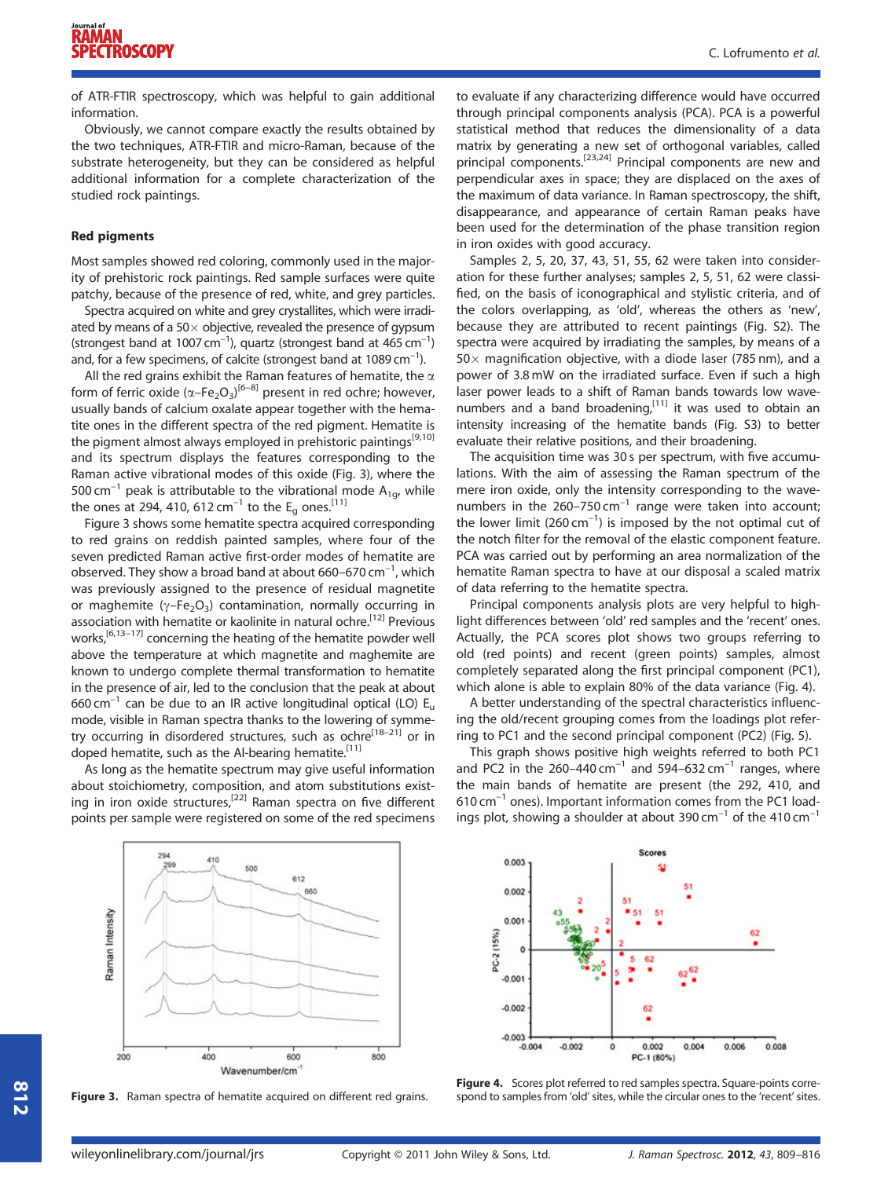of ATR-FTIR spectroscopy, which was helpful to gain additional information.

Obviously, we cannot compare exactly the results obtained by the two techniques, ATR-FTIR and micro-Raman, because of the substrate heterogeneity, but they can be considered as helpful additional information for a complete characterization of the studied rock paintings.

#### Red pigments

Most samples showed red coloring, commonly used in the majority of prehistoric rock paintings. Red sample surfaces were quite patchy, because of the presence of red, white, and grey particles.

Spectra acquired on white and grey crystallites, which were irradiated by means of a 50 $\times$  objective, revealed the presence of gypsum (strongest band at 1007 cm $^{-1}$ ), quartz (strongest band at 465 cm $^{-1}$ ) and, for a few specimens, of calcite (strongest band at 1089  $cm^{-1}$ ).

All the red grains exhibit the Raman features of hematite, the  $\alpha$ <br>an of ferric oxide (a–Ee-Q-)<sup>[6–8]</sup> present in red ochre; however form of ferric oxide  $(\alpha - Fe_2O_3)^{[6-8]}$  present in red ochre; however, the beman is the beman in red ochres how had usually bands of calcium oxalate appear together with the hematite ones in the different spectra of the red pigment. Hematite is the pigment almost always employed in prehistoric paintings<sup>[9,10]</sup> and its spectrum displays the features corresponding to the Raman active vibrational modes of this oxide (Fig. 3), where the 500 cm<sup>-1</sup> peak is attributable to the vibrational mode  $A_{1\alpha}$ , while the ones at 294, 410, 612 cm<sup>-1</sup> to the E<sub>q</sub> ones.<sup>[11]</sup>

Figure 3 shows some hematite spectra acquired corresponding to red grains on reddish painted samples, where four of the seven predicted Raman active first-order modes of hematite are observed. They show a broad band at about 660–670 cm<sup>-1</sup>, which was previously assigned to the presence of residual magnetite or maghemite ( $y-Fe<sub>2</sub>O<sub>3</sub>$ ) contamination, normally occurring in association with hematite or kaolinite in natural ochre.<sup>[12]</sup> Previous works,  $[6,13-17]$  concerning the heating of the hematite powder well above the temperature at which magnetite and maghemite are known to undergo complete thermal transformation to hematite in the presence of air, led to the conclusion that the peak at about  $660 \text{ cm}^{-1}$  can be due to an IR active longitudinal optical (LO) E<sub>u</sub> mode, visible in Raman spectra thanks to the lowering of symmetry occurring in disordered structures, such as ochre<sup>[18–21]</sup> or in doped hematite, such as the Al-bearing hematite.<sup>[11]</sup>

As long as the hematite spectrum may give useful information about stoichiometry, composition, and atom substitutions existing in iron oxide structures,<sup>[22]</sup> Raman spectra on five different points per sample were registered on some of the red specimens to evaluate if any characterizing difference would have occurred through principal components analysis (PCA). PCA is a powerful statistical method that reduces the dimensionality of a data matrix by generating a new set of orthogonal variables, called principal components.[23,24] Principal components are new and perpendicular axes in space; they are displaced on the axes of the maximum of data variance. In Raman spectroscopy, the shift, disappearance, and appearance of certain Raman peaks have been used for the determination of the phase transition region in iron oxides with good accuracy.

Samples 2, 5, 20, 37, 43, 51, 55, 62 were taken into consideration for these further analyses; samples 2, 5, 51, 62 were classified, on the basis of iconographical and stylistic criteria, and of the colors overlapping, as 'old', whereas the others as 'new', because they are attributed to recent paintings (Fig. S2). The spectra were acquired by irradiating the samples, by means of a  $50 \times$  magnification objective, with a diode laser (785 nm), and a power of 3.8 mW on the irradiated surface. Even if such a high laser power leads to a shift of Raman bands towards low wavenumbers and a band broadening, $[11]$  it was used to obtain an intensity increasing of the hematite bands (Fig. S3) to better evaluate their relative positions, and their broadening.

The acquisition time was 30 s per spectrum, with five accumulations. With the aim of assessing the Raman spectrum of the mere iron oxide, only the intensity corresponding to the wavenumbers in the  $260-750 \text{ cm}^{-1}$  range were taken into account; the lower limit  $(260 \text{ cm}^{-1})$  is imposed by the not optimal cut of the notch filter for the removal of the elastic component feature. PCA was carried out by performing an area normalization of the hematite Raman spectra to have at our disposal a scaled matrix of data referring to the hematite spectra.

Principal components analysis plots are very helpful to highlight differences between 'old' red samples and the 'recent' ones. Actually, the PCA scores plot shows two groups referring to old (red points) and recent (green points) samples, almost completely separated along the first principal component (PC1), which alone is able to explain 80% of the data variance (Fig. 4).

A better understanding of the spectral characteristics influencing the old/recent grouping comes from the loadings plot referring to PC1 and the second principal component (PC2) (Fig. 5).

This graph shows positive high weights referred to both PC1 and PC2 in the 260–440 cm<sup>-1</sup> and 594–632 cm<sup>-1</sup> ranges, where the main bands of hematite are present (the 292, 410, and 610 cm $^{-1}$  ones). Important information comes from the PC1 loadings plot, showing a shoulder at about 390 cm<sup>-1</sup> of the 410 cm<sup>-1</sup>



Figure 3. Raman spectra of hematite acquired on different red grains.



Figure 4. Scores plot referred to red samples spectra. Square-points correspond to samples from 'old' sites, while the circular ones to the 'recent' sites.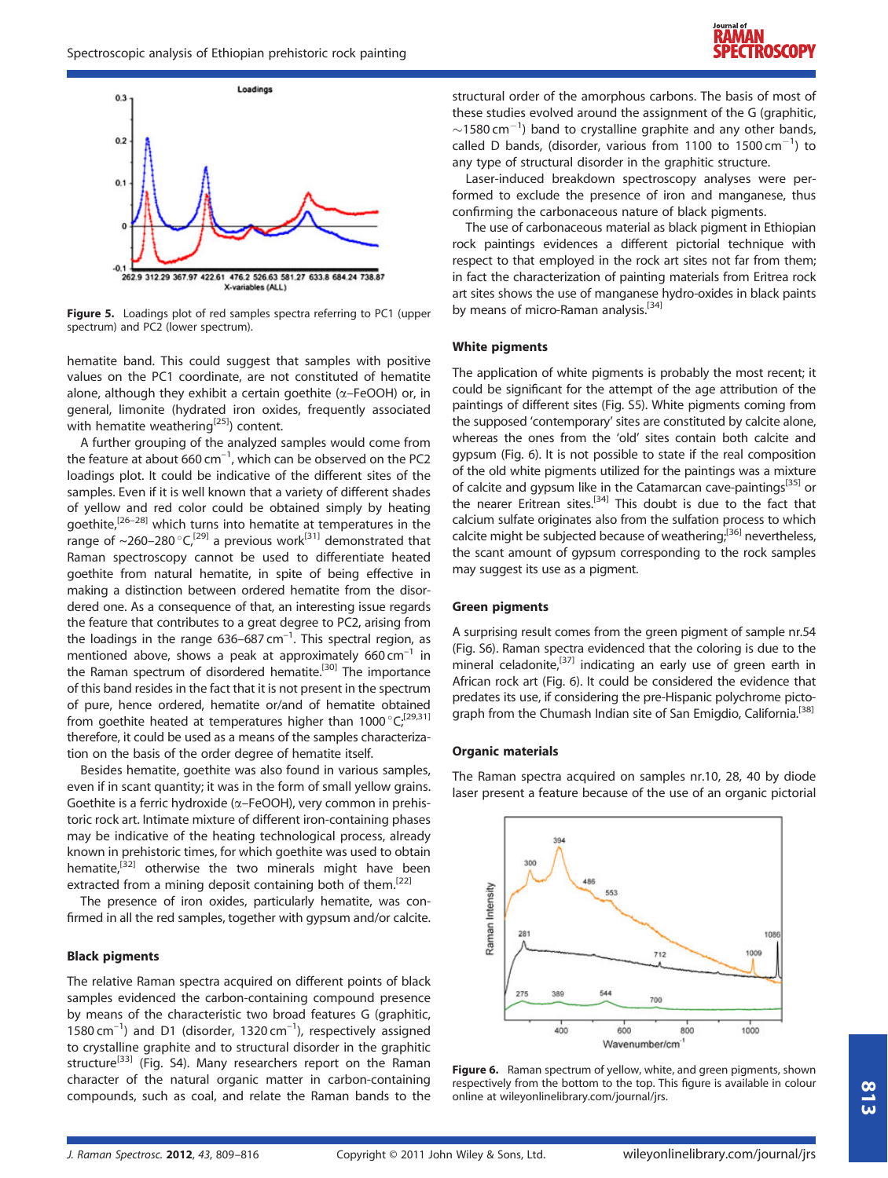

Figure 5. Loadings plot of red samples spectra referring to PC1 (upper spectrum) and PC2 (lower spectrum).

hematite band. This could suggest that samples with positive values on the PC1 coordinate, are not constituted of hematite alone, although they exhibit a certain goethite  $(x - FeOOH)$  or, in general, limonite (hydrated iron oxides, frequently associated with hematite weathering<sup>[25]</sup>) content.

A further grouping of the analyzed samples would come from the feature at about 660 cm–<sup>1</sup> , which can be observed on the PC2 loadings plot. It could be indicative of the different sites of the samples. Even if it is well known that a variety of different shades of yellow and red color could be obtained simply by heating goethite,<sup>[26–28]</sup> which turns into hematite at temperatures in the range of ~260–280 °C,<sup>[29]</sup> a previous work<sup>[31]</sup> demonstrated that Raman spectroscopy cannot be used to differentiate heated goethite from natural hematite, in spite of being effective in making a distinction between ordered hematite from the disordered one. As a consequence of that, an interesting issue regards the feature that contributes to a great degree to PC2, arising from the loadings in the range  $636-687$  cm<sup>-1</sup>. This spectral region, as mentioned above, shows a peak at approximately 660 cm<sup>-1</sup> in the Raman spectrum of disordered hematite.<sup>[30]</sup> The importance of this band resides in the fact that it is not present in the spectrum of pure, hence ordered, hematite or/and of hematite obtained from goethite heated at temperatures higher than  $1000\,^{\circ}\text{C}_r^{[29,31]}$ therefore, it could be used as a means of the samples characterization on the basis of the order degree of hematite itself.

Besides hematite, goethite was also found in various samples, even if in scant quantity; it was in the form of small yellow grains. Goethite is a ferric hydroxide (a–FeOOH), very common in prehistoric rock art. Intimate mixture of different iron-containing phases may be indicative of the heating technological process, already known in prehistoric times, for which goethite was used to obtain hematite,<sup>[32]</sup> otherwise the two minerals might have been extracted from a mining deposit containing both of them.<sup>[22]</sup>

The presence of iron oxides, particularly hematite, was confirmed in all the red samples, together with gypsum and/or calcite.

#### Black pigments

The relative Raman spectra acquired on different points of black samples evidenced the carbon-containing compound presence by means of the characteristic two broad features G (graphitic, 1580 cm–<sup>1</sup> ) and D1 (disorder, 1320 cm–<sup>1</sup> ), respectively assigned to crystalline graphite and to structural disorder in the graphitic structure<sup>[33]</sup> (Fig. S4). Many researchers report on the Raman character of the natural organic matter in carbon-containing compounds, such as coal, and relate the Raman bands to the

structural order of the amorphous carbons. The basis of most of these studies evolved around the assignment of the G (graphitic,  $\sim$ 1580 cm<sup>-1</sup>) band to crystalline graphite and any other bands, called D bands, (disorder, various from 1100 to 1500  $\text{cm}^{-1}$ ) to any type of structural disorder in the graphitic structure.

Laser-induced breakdown spectroscopy analyses were performed to exclude the presence of iron and manganese, thus confirming the carbonaceous nature of black pigments.

The use of carbonaceous material as black pigment in Ethiopian rock paintings evidences a different pictorial technique with respect to that employed in the rock art sites not far from them; in fact the characterization of painting materials from Eritrea rock art sites shows the use of manganese hydro-oxides in black paints by means of micro-Raman analysis.<sup>[34]</sup>

#### White pigments

The application of white pigments is probably the most recent; it could be significant for the attempt of the age attribution of the paintings of different sites (Fig. S5). White pigments coming from the supposed 'contemporary' sites are constituted by calcite alone, whereas the ones from the 'old' sites contain both calcite and gypsum (Fig. 6). It is not possible to state if the real composition of the old white pigments utilized for the paintings was a mixture of calcite and gypsum like in the Catamarcan cave-paintings<sup>[35]</sup> or the nearer Eritrean sites.<sup>[34]</sup> This doubt is due to the fact that calcium sulfate originates also from the sulfation process to which calcite might be subjected because of weathering;<sup>[36]</sup> nevertheless, the scant amount of gypsum corresponding to the rock samples may suggest its use as a pigment.

#### Green pigments

A surprising result comes from the green pigment of sample nr.54 (Fig. S6). Raman spectra evidenced that the coloring is due to the mineral celadonite,<sup>[37]</sup> indicating an early use of green earth in African rock art (Fig. 6). It could be considered the evidence that predates its use, if considering the pre-Hispanic polychrome pictograph from the Chumash Indian site of San Emigdio, California.<sup>[38]</sup>

#### Organic materials

The Raman spectra acquired on samples nr.10, 28, 40 by diode laser present a feature because of the use of an organic pictorial



Figure 6. Raman spectrum of yellow, white, and green pigments, shown respectively from the bottom to the top. This figure is available in colour online at wileyonlinelibrary.com/journal/jrs.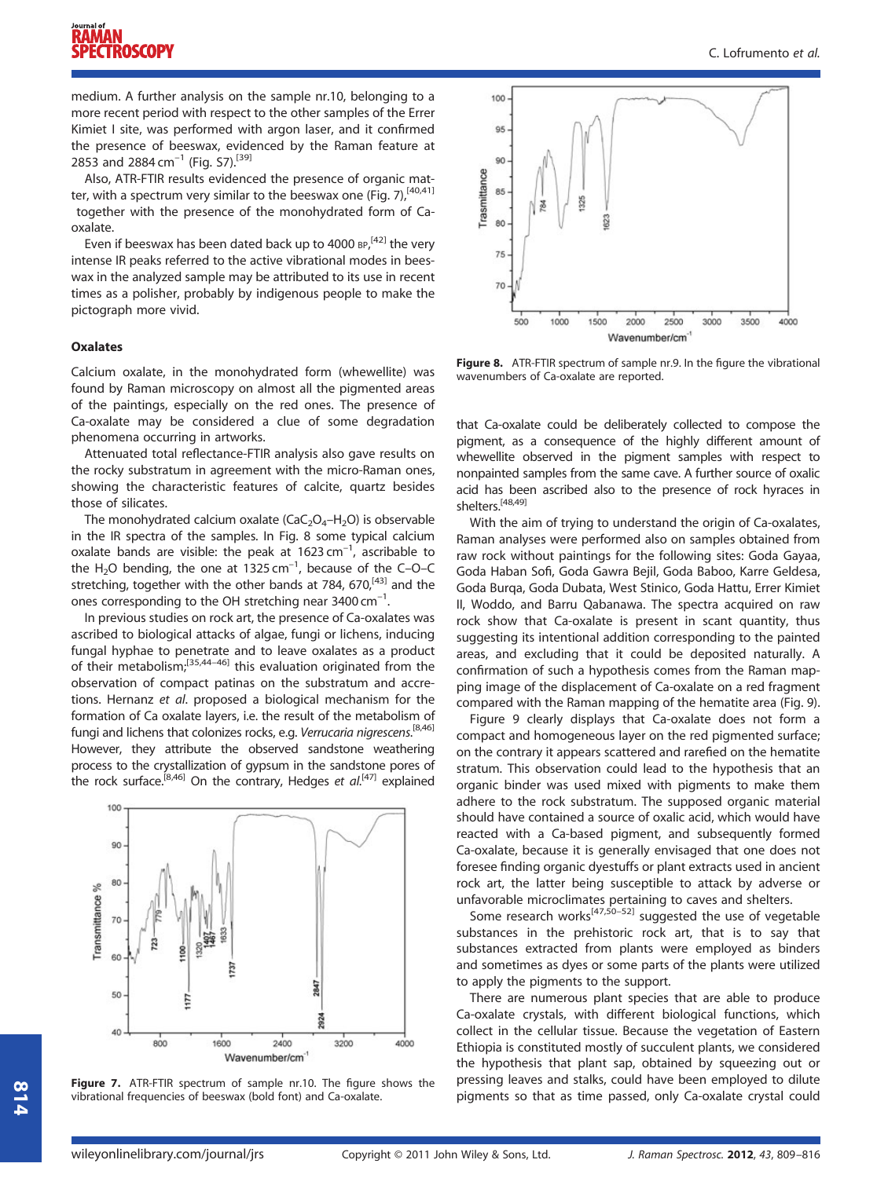medium. A further analysis on the sample nr.10, belonging to a more recent period with respect to the other samples of the Errer Kimiet I site, was performed with argon laser, and it confirmed the presence of beeswax, evidenced by the Raman feature at 2853 and 2884 cm<sup>-1</sup> (Fig. S7).<sup>[39]</sup>

Also, ATR-FTIR results evidenced the presence of organic matter, with a spectrum very similar to the beeswax one (Fig. 7),  $[40,41]$ together with the presence of the monohydrated form of Caoxalate.

Even if beeswax has been dated back up to 4000 BP, <sup>[42]</sup> the very intense IR peaks referred to the active vibrational modes in beeswax in the analyzed sample may be attributed to its use in recent times as a polisher, probably by indigenous people to make the pictograph more vivid.

#### **Oxalates**

Calcium oxalate, in the monohydrated form (whewellite) was found by Raman microscopy on almost all the pigmented areas of the paintings, especially on the red ones. The presence of Ca-oxalate may be considered a clue of some degradation phenomena occurring in artworks.

Attenuated total reflectance-FTIR analysis also gave results on the rocky substratum in agreement with the micro-Raman ones, showing the characteristic features of calcite, quartz besides those of silicates.

The monohydrated calcium oxalate ( $CaC_2O_4-H_2O$ ) is observable in the IR spectra of the samples. In Fig. 8 some typical calcium oxalate bands are visible: the peak at  $1623 \text{ cm}^{-1}$ , ascribable to the H<sub>2</sub>O bending, the one at  $1325 \text{ cm}^{-1}$ , because of the C-O-C stretching, together with the other bands at 784, 670, $^{[43]}$  and the ones corresponding to the OH stretching near  $3400 \text{ cm}^{-1}$ . .

In previous studies on rock art, the presence of Ca-oxalates was ascribed to biological attacks of algae, fungi or lichens, inducing fungal hyphae to penetrate and to leave oxalates as a product of their metabolism;[35,44–46] this evaluation originated from the observation of compact patinas on the substratum and accretions. Hernanz et al. proposed a biological mechanism for the formation of Ca oxalate layers, i.e. the result of the metabolism of fungi and lichens that colonizes rocks, e.g. *Verrucaria nigrescens*.<sup>[8,46]</sup> However, they attribute the observed sandstone weathering process to the crystallization of gypsum in the sandstone pores of the rock surface.<sup>[8,46]</sup> On the contrary, Hedges et al.<sup>[47]</sup> explained



Figure 7. ATR-FTIR spectrum of sample nr.10. The figure shows the vibrational frequencies of beeswax (bold font) and Ca-oxalate.



Figure 8. ATR-FTIR spectrum of sample nr.9. In the figure the vibrational wavenumbers of Ca-oxalate are reported.

that Ca-oxalate could be deliberately collected to compose the pigment, as a consequence of the highly different amount of whewellite observed in the pigment samples with respect to nonpainted samples from the same cave. A further source of oxalic acid has been ascribed also to the presence of rock hyraces in shelters.<sup>[48,49]</sup>

With the aim of trying to understand the origin of Ca-oxalates, Raman analyses were performed also on samples obtained from raw rock without paintings for the following sites: Goda Gayaa, Goda Haban Sofi, Goda Gawra Bejil, Goda Baboo, Karre Geldesa, Goda Burqa, Goda Dubata, West Stinico, Goda Hattu, Errer Kimiet II, Woddo, and Barru Qabanawa. The spectra acquired on raw rock show that Ca-oxalate is present in scant quantity, thus suggesting its intentional addition corresponding to the painted areas, and excluding that it could be deposited naturally. A confirmation of such a hypothesis comes from the Raman mapping image of the displacement of Ca-oxalate on a red fragment compared with the Raman mapping of the hematite area (Fig. 9).

Figure 9 clearly displays that Ca-oxalate does not form a compact and homogeneous layer on the red pigmented surface; on the contrary it appears scattered and rarefied on the hematite stratum. This observation could lead to the hypothesis that an organic binder was used mixed with pigments to make them adhere to the rock substratum. The supposed organic material should have contained a source of oxalic acid, which would have reacted with a Ca-based pigment, and subsequently formed Ca-oxalate, because it is generally envisaged that one does not foresee finding organic dyestuffs or plant extracts used in ancient rock art, the latter being susceptible to attack by adverse or unfavorable microclimates pertaining to caves and shelters.

Some research works<sup>[47,50–52]</sup> suggested the use of vegetable substances in the prehistoric rock art, that is to say that substances extracted from plants were employed as binders and sometimes as dyes or some parts of the plants were utilized to apply the pigments to the support.

There are numerous plant species that are able to produce Ca-oxalate crystals, with different biological functions, which collect in the cellular tissue. Because the vegetation of Eastern Ethiopia is constituted mostly of succulent plants, we considered the hypothesis that plant sap, obtained by squeezing out or pressing leaves and stalks, could have been employed to dilute pigments so that as time passed, only Ca-oxalate crystal could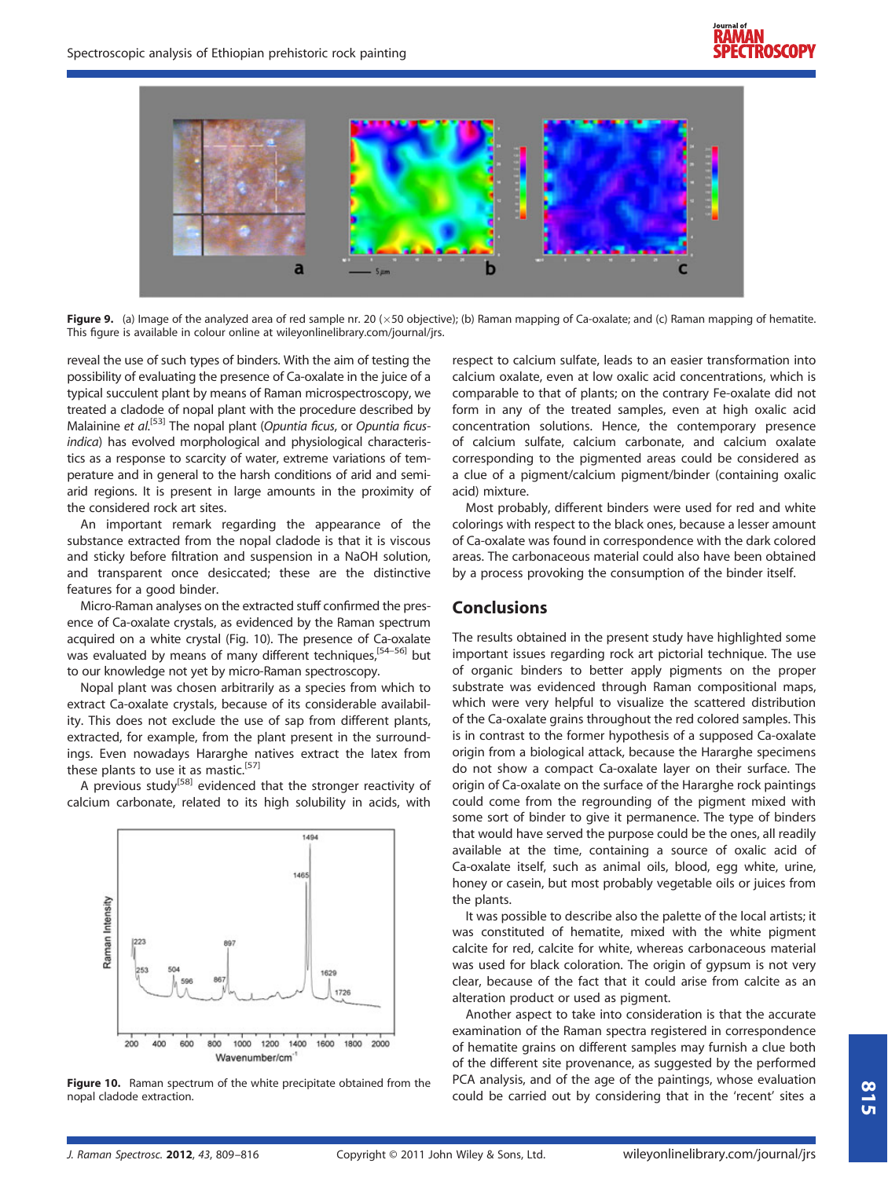

Figure 9. (a) Image of the analyzed area of red sample nr. 20 ( $\times$ 50 objective); (b) Raman mapping of Ca-oxalate; and (c) Raman mapping of hematite. This figure is available in colour online at wileyonlinelibrary.com/journal/jrs.

reveal the use of such types of binders. With the aim of testing the possibility of evaluating the presence of Ca-oxalate in the juice of a typical succulent plant by means of Raman microspectroscopy, we treated a cladode of nopal plant with the procedure described by Malainine et al.<sup>[53]</sup> The nopal plant (Opuntia ficus, or Opuntia ficusindica) has evolved morphological and physiological characteristics as a response to scarcity of water, extreme variations of temperature and in general to the harsh conditions of arid and semiarid regions. It is present in large amounts in the proximity of the considered rock art sites.

An important remark regarding the appearance of the substance extracted from the nopal cladode is that it is viscous and sticky before filtration and suspension in a NaOH solution, and transparent once desiccated; these are the distinctive features for a good binder.

Micro-Raman analyses on the extracted stuff confirmed the presence of Ca-oxalate crystals, as evidenced by the Raman spectrum acquired on a white crystal (Fig. 10). The presence of Ca-oxalate was evaluated by means of many different techniques,<sup>[54–56]</sup> but to our knowledge not yet by micro-Raman spectroscopy.

Nopal plant was chosen arbitrarily as a species from which to extract Ca-oxalate crystals, because of its considerable availability. This does not exclude the use of sap from different plants, extracted, for example, from the plant present in the surroundings. Even nowadays Hararghe natives extract the latex from these plants to use it as mastic.<sup>[57]</sup>

A previous study<sup>[58]</sup> evidenced that the stronger reactivity of calcium carbonate, related to its high solubility in acids, with



Figure 10. Raman spectrum of the white precipitate obtained from the nopal cladode extraction.

respect to calcium sulfate, leads to an easier transformation into calcium oxalate, even at low oxalic acid concentrations, which is comparable to that of plants; on the contrary Fe-oxalate did not form in any of the treated samples, even at high oxalic acid concentration solutions. Hence, the contemporary presence of calcium sulfate, calcium carbonate, and calcium oxalate corresponding to the pigmented areas could be considered as a clue of a pigment/calcium pigment/binder (containing oxalic acid) mixture.

Most probably, different binders were used for red and white colorings with respect to the black ones, because a lesser amount of Ca-oxalate was found in correspondence with the dark colored areas. The carbonaceous material could also have been obtained by a process provoking the consumption of the binder itself.

## Conclusions

The results obtained in the present study have highlighted some important issues regarding rock art pictorial technique. The use of organic binders to better apply pigments on the proper substrate was evidenced through Raman compositional maps, which were very helpful to visualize the scattered distribution of the Ca-oxalate grains throughout the red colored samples. This is in contrast to the former hypothesis of a supposed Ca-oxalate origin from a biological attack, because the Hararghe specimens do not show a compact Ca-oxalate layer on their surface. The origin of Ca-oxalate on the surface of the Hararghe rock paintings could come from the regrounding of the pigment mixed with some sort of binder to give it permanence. The type of binders that would have served the purpose could be the ones, all readily available at the time, containing a source of oxalic acid of Ca-oxalate itself, such as animal oils, blood, egg white, urine, honey or casein, but most probably vegetable oils or juices from the plants.

It was possible to describe also the palette of the local artists; it was constituted of hematite, mixed with the white pigment calcite for red, calcite for white, whereas carbonaceous material was used for black coloration. The origin of gypsum is not very clear, because of the fact that it could arise from calcite as an alteration product or used as pigment.

Another aspect to take into consideration is that the accurate examination of the Raman spectra registered in correspondence of hematite grains on different samples may furnish a clue both of the different site provenance, as suggested by the performed PCA analysis, and of the age of the paintings, whose evaluation could be carried out by considering that in the 'recent' sites a